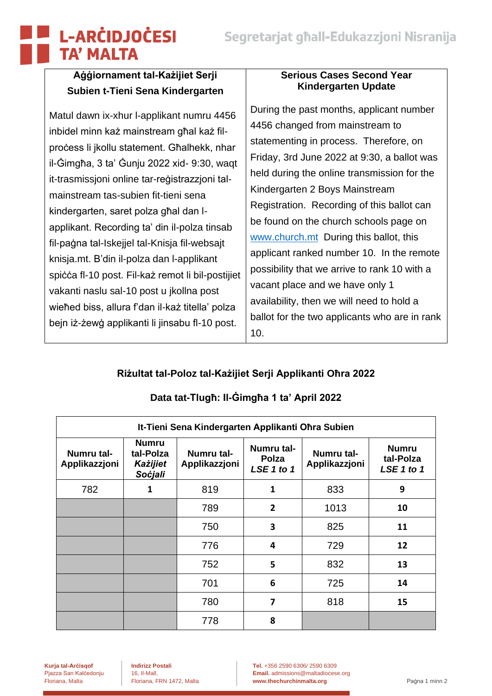# **L-ARCIDJOCESI TA' MALTA**

## **Aġġiornament tal-Każijiet Serji Subien t-Tieni Sena Kindergarten**

Matul dawn ix-xhur l-applikant numru 4456 inbidel minn każ mainstream għal każ filproċess li jkollu statement. Għalhekk, nhar il-Ġimgħa, 3 ta' Ġunju 2022 xid- 9:30, waqt it-trasmissjoni online tar-reġistrazzjoni talmainstream tas-subien fit-tieni sena kindergarten, saret polza għal dan lapplikant. Recording ta' din il-polza tinsab fil-paġna tal-Iskejjel tal-Knisja fil-websajt knisja.mt. B'din il-polza dan l-applikant spiċċa fl-10 post. Fil-każ remot li bil-postijiet vakanti naslu sal-10 post u jkollna post wieħed biss, allura f'dan il-każ titella' polza bejn iż-żewġ applikanti li jinsabu fl-10 post.

#### **Serious Cases Second Year Kindergarten Update**

During the past months, applicant number 4456 changed from mainstream to statementing in process. Therefore, on Friday, 3rd June 2022 at 9:30, a ballot was held during the online transmission for the Kindergarten 2 Boys Mainstream Registration. Recording of this ballot can be found on the church schools page on [www.church.mt](http://www.church.mt/) During this ballot, this applicant ranked number 10. In the remote possibility that we arrive to rank 10 with a vacant place and we have only 1 availability, then we will need to hold a ballot for the two applicants who are in rank 10.

# **Riżultat tal-Poloz tal-Każijiet Serji Applikanti Oħra 2022**

| It-Tieni Sena Kindergarten Applikanti Ohra Subien |                                                         |                             |                                   |                             |                                         |  |  |  |
|---------------------------------------------------|---------------------------------------------------------|-----------------------------|-----------------------------------|-----------------------------|-----------------------------------------|--|--|--|
| Numru tal-<br>Applikazzjoni                       | <b>Numru</b><br>tal-Polza<br><b>Każijiet</b><br>Soċjali | Numru tal-<br>Applikazzjoni | Numru tal-<br>Polza<br>LSE 1 to 1 | Numru tal-<br>Applikazzjoni | <b>Numru</b><br>tal-Polza<br>LSE 1 to 1 |  |  |  |
| 782                                               | 1                                                       | 819                         | $\mathbf{1}$                      | 833                         | 9                                       |  |  |  |
|                                                   |                                                         | 789                         | $\overline{2}$                    | 1013                        | 10                                      |  |  |  |
|                                                   |                                                         | 750                         | 3                                 | 825                         | 11                                      |  |  |  |
|                                                   |                                                         | 776                         | 4                                 | 729                         | 12                                      |  |  |  |
|                                                   |                                                         | 752                         | 5                                 | 832                         | 13                                      |  |  |  |
|                                                   |                                                         | 701                         | 6                                 | 725                         | 14                                      |  |  |  |
|                                                   |                                                         | 780                         | 7                                 | 818                         | 15                                      |  |  |  |
|                                                   |                                                         | 778                         | 8                                 |                             |                                         |  |  |  |

### **Data tat-Tlugħ: Il-Ġimgħa 1 ta' April 2022**

**Kurja tal-Arċisqof Indirizz Postali Tel.** +356 2590 6306/ 2590 6309 Pjazza San Kalèndon, II. **Email.** [admissions@maltadiocese.org](mailto:admissions@maltadiocese.org) Floriana, Malta Floriana, FRN 1472, Malta **[www.thechurchinmalta.org](http://www.thechurchinmalta.org/)** Paġna 1 minn 2